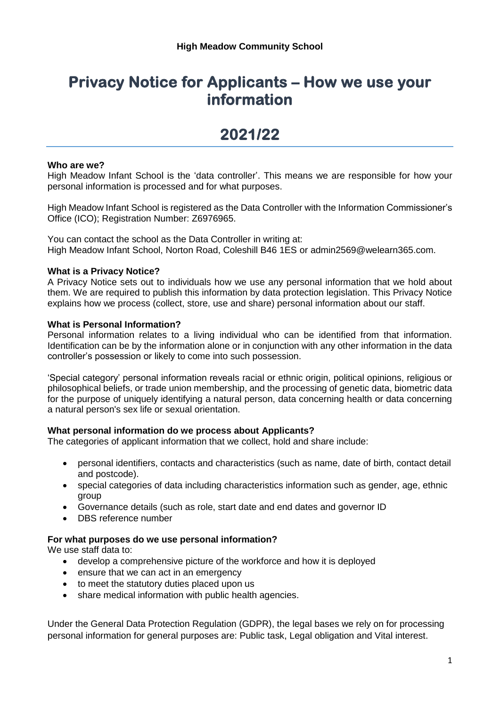## **Privacy Notice for Applicants – How we use your information**

# **2021/22**

#### **Who are we?**

High Meadow Infant School is the 'data controller'. This means we are responsible for how your personal information is processed and for what purposes.

High Meadow Infant School is registered as the Data Controller with the Information Commissioner's Office (ICO); Registration Number: Z6976965.

You can contact the school as the Data Controller in writing at: High Meadow Infant School, Norton Road, Coleshill B46 1ES or admin2569@welearn365.com.

#### **What is a Privacy Notice?**

A Privacy Notice sets out to individuals how we use any personal information that we hold about them. We are required to publish this information by data protection legislation. This Privacy Notice explains how we process (collect, store, use and share) personal information about our staff.

#### **What is Personal Information?**

Personal information relates to a living individual who can be identified from that information. Identification can be by the information alone or in conjunction with any other information in the data controller's possession or likely to come into such possession.

'Special category' personal information reveals racial or ethnic origin, political opinions, religious or philosophical beliefs, or trade union membership, and the processing of genetic data, biometric data for the purpose of uniquely identifying a natural person, data concerning health or data concerning a natural person's sex life or sexual orientation.

#### **What personal information do we process about Applicants?**

The categories of applicant information that we collect, hold and share include:

- personal identifiers, contacts and characteristics (such as name, date of birth, contact detail and postcode).
- special categories of data including characteristics information such as gender, age, ethnic group
- Governance details (such as role, start date and end dates and governor ID
- DBS reference number

#### **For what purposes do we use personal information?**

We use staff data to:

- develop a comprehensive picture of the workforce and how it is deployed
- ensure that we can act in an emergency
- to meet the statutory duties placed upon us
- share medical information with public health agencies.

Under the General Data Protection Regulation (GDPR), the legal bases we rely on for processing personal information for general purposes are: Public task, Legal obligation and Vital interest.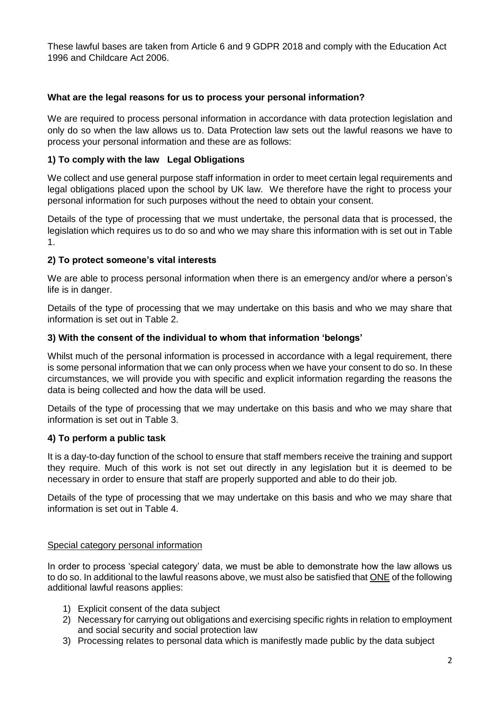These lawful bases are taken from Article 6 and 9 GDPR 2018 and comply with the Education Act 1996 and Childcare Act 2006.

## **What are the legal reasons for us to process your personal information?**

We are required to process personal information in accordance with data protection legislation and only do so when the law allows us to. Data Protection law sets out the lawful reasons we have to process your personal information and these are as follows:

## **1) To comply with the law Legal Obligations**

We collect and use general purpose staff information in order to meet certain legal requirements and legal obligations placed upon the school by UK law. We therefore have the right to process your personal information for such purposes without the need to obtain your consent.

Details of the type of processing that we must undertake, the personal data that is processed, the legislation which requires us to do so and who we may share this information with is set out in Table 1.

## **2) To protect someone's vital interests**

We are able to process personal information when there is an emergency and/or where a person's life is in danger.

Details of the type of processing that we may undertake on this basis and who we may share that information is set out in Table 2.

#### **3) With the consent of the individual to whom that information 'belongs'**

Whilst much of the personal information is processed in accordance with a legal requirement, there is some personal information that we can only process when we have your consent to do so. In these circumstances, we will provide you with specific and explicit information regarding the reasons the data is being collected and how the data will be used.

Details of the type of processing that we may undertake on this basis and who we may share that information is set out in Table 3.

#### **4) To perform a public task**

It is a day-to-day function of the school to ensure that staff members receive the training and support they require. Much of this work is not set out directly in any legislation but it is deemed to be necessary in order to ensure that staff are properly supported and able to do their job.

Details of the type of processing that we may undertake on this basis and who we may share that information is set out in Table 4.

#### Special category personal information

In order to process 'special category' data, we must be able to demonstrate how the law allows us to do so. In additional to the lawful reasons above, we must also be satisfied that ONE of the following additional lawful reasons applies:

- 1) Explicit consent of the data subject
- 2) Necessary for carrying out obligations and exercising specific rights in relation to employment and social security and social protection law
- 3) Processing relates to personal data which is manifestly made public by the data subject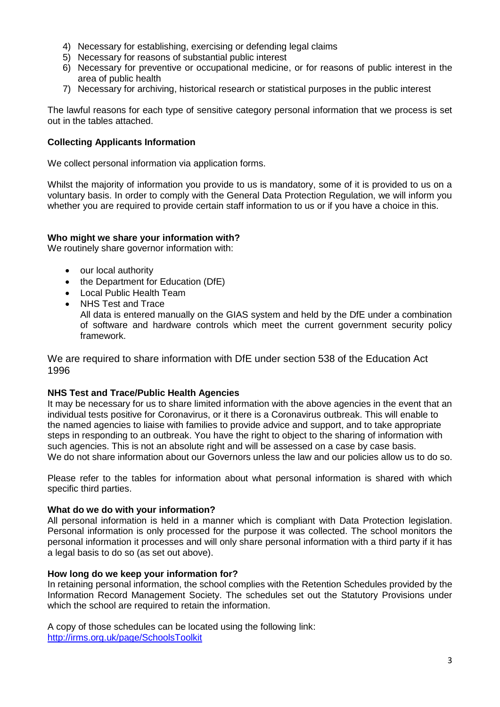- 4) Necessary for establishing, exercising or defending legal claims
- 5) Necessary for reasons of substantial public interest
- 6) Necessary for preventive or occupational medicine, or for reasons of public interest in the area of public health
- 7) Necessary for archiving, historical research or statistical purposes in the public interest

The lawful reasons for each type of sensitive category personal information that we process is set out in the tables attached.

#### **Collecting Applicants Information**

We collect personal information via application forms.

Whilst the majority of information you provide to us is mandatory, some of it is provided to us on a voluntary basis. In order to comply with the General Data Protection Regulation, we will inform you whether you are required to provide certain staff information to us or if you have a choice in this.

#### **Who might we share your information with?**

We routinely share governor information with:

- our local authority
- the Department for Education (DfE)
- Local Public Health Team
- NHS Test and Trace All data is entered manually on the GIAS system and held by the DfE under a combination of software and hardware controls which meet the current government security policy framework.

We are required to share information with DfE under section 538 of the Education Act 1996

#### **NHS Test and Trace/Public Health Agencies**

It may be necessary for us to share limited information with the above agencies in the event that an individual tests positive for Coronavirus, or it there is a Coronavirus outbreak. This will enable to the named agencies to liaise with families to provide advice and support, and to take appropriate steps in responding to an outbreak. You have the right to object to the sharing of information with such agencies. This is not an absolute right and will be assessed on a case by case basis. We do not share information about our Governors unless the law and our policies allow us to do so.

Please refer to the tables for information about what personal information is shared with which specific third parties.

#### **What do we do with your information?**

All personal information is held in a manner which is compliant with Data Protection legislation. Personal information is only processed for the purpose it was collected. The school monitors the personal information it processes and will only share personal information with a third party if it has a legal basis to do so (as set out above).

#### **How long do we keep your information for?**

In retaining personal information, the school complies with the Retention Schedules provided by the Information Record Management Society. The schedules set out the Statutory Provisions under which the school are required to retain the information.

A copy of those schedules can be located using the following link: <http://irms.org.uk/page/SchoolsToolkit>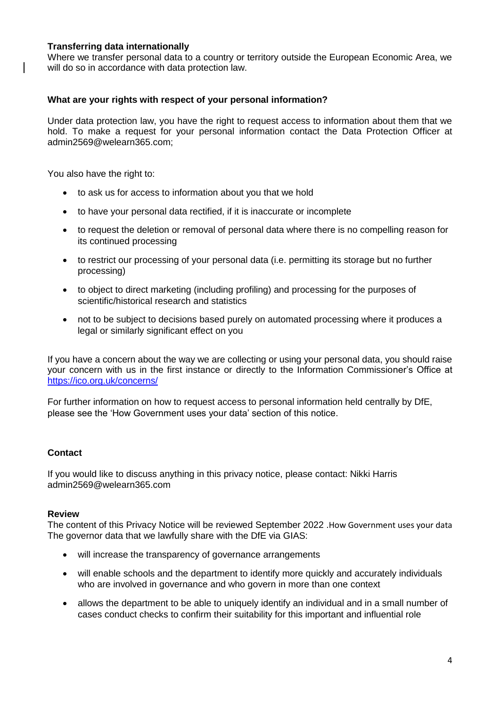#### **Transferring data internationally**

Where we transfer personal data to a country or territory outside the European Economic Area, we will do so in accordance with data protection law.

#### **What are your rights with respect of your personal information?**

Under data protection law, you have the right to request access to information about them that we hold. To make a request for your personal information contact the Data Protection Officer at admin2569@welearn365.com;

You also have the right to:

- to ask us for access to information about you that we hold
- to have your personal data rectified, if it is inaccurate or incomplete
- to request the deletion or removal of personal data where there is no compelling reason for its continued processing
- to restrict our processing of your personal data (i.e. permitting its storage but no further processing)
- to object to direct marketing (including profiling) and processing for the purposes of scientific/historical research and statistics
- not to be subject to decisions based purely on automated processing where it produces a legal or similarly significant effect on you

If you have a concern about the way we are collecting or using your personal data, you should raise your concern with us in the first instance or directly to the Information Commissioner's Office at <https://ico.org.uk/concerns/>

For further information on how to request access to personal information held centrally by DfE, please see the 'How Government uses your data' section of this notice.

#### **Contact**

If you would like to discuss anything in this privacy notice, please contact: Nikki Harris admin2569@welearn365.com

#### **Review**

The content of this Privacy Notice will be reviewed September 2022 .How Government uses your data The governor data that we lawfully share with the DfE via GIAS:

- will increase the transparency of governance arrangements
- will enable schools and the department to identify more quickly and accurately individuals who are involved in governance and who govern in more than one context
- allows the department to be able to uniquely identify an individual and in a small number of cases conduct checks to confirm their suitability for this important and influential role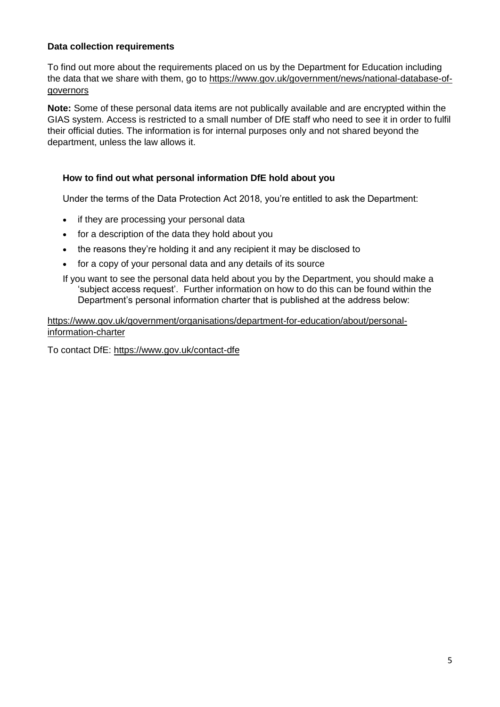## **Data collection requirements**

To find out more about the requirements placed on us by the Department for Education including the data that we share with them, go to [https://www.gov.uk/government/news/national-database-of](https://www.gov.uk/government/news/national-database-of-governors)[governors](https://www.gov.uk/government/news/national-database-of-governors)

**Note:** Some of these personal data items are not publically available and are encrypted within the GIAS system. Access is restricted to a small number of DfE staff who need to see it in order to fulfil their official duties. The information is for internal purposes only and not shared beyond the department, unless the law allows it.

#### **How to find out what personal information DfE hold about you**

Under the terms of the Data Protection Act 2018, you're entitled to ask the Department:

- if they are processing your personal data
- for a description of the data they hold about you
- the reasons they're holding it and any recipient it may be disclosed to
- for a copy of your personal data and any details of its source

If you want to see the personal data held about you by the Department, you should make a 'subject access request'. Further information on how to do this can be found within the Department's personal information charter that is published at the address below:

[https://www.gov.uk/government/organisations/department-for-education/about/personal](https://www.gov.uk/government/organisations/department-for-education/about/personal-information-charter)[information-charter](https://www.gov.uk/government/organisations/department-for-education/about/personal-information-charter)

To contact DfE:<https://www.gov.uk/contact-dfe>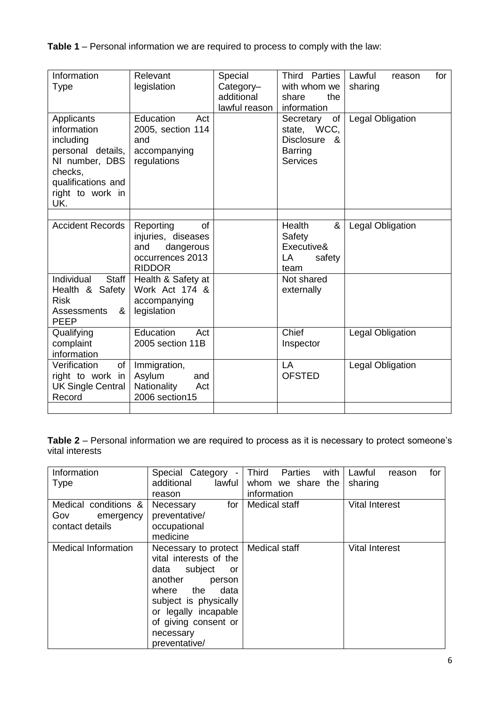**Table 1** – Personal information we are required to process to comply with the law:

| Relevant<br>legislation                                                                        | Special<br>Category-<br>additional<br>lawful reason | Third Parties<br>with whom we<br>share<br>the<br>information                                    | Lawful<br>for<br>reason<br>sharing |
|------------------------------------------------------------------------------------------------|-----------------------------------------------------|-------------------------------------------------------------------------------------------------|------------------------------------|
| Education<br>Act<br>2005, section 114<br>and<br>accompanying<br>regulations                    |                                                     | Secretary<br>of<br>state, WCC,<br><b>Disclosure</b><br>୍ୟୁ<br><b>Barring</b><br><b>Services</b> | <b>Legal Obligation</b>            |
| Reporting<br>of<br>injuries, diseases<br>and<br>dangerous<br>occurrences 2013<br><b>RIDDOR</b> |                                                     | Health<br>&<br>Safety<br>Executive&<br>LA<br>safety<br>team                                     | <b>Legal Obligation</b>            |
| Health & Safety at<br>Work Act 174 &<br>accompanying<br>legislation                            |                                                     | Not shared<br>externally                                                                        |                                    |
| Education<br>Act<br>2005 section 11B                                                           |                                                     | Chief<br>Inspector                                                                              | Legal Obligation                   |
| Immigration,<br>Asylum<br>and<br>Nationality<br>Act<br>2006 section15                          |                                                     | LA<br><b>OFSTED</b>                                                                             | Legal Obligation                   |
|                                                                                                |                                                     |                                                                                                 |                                    |

**Table 2** – Personal information we are required to process as it is necessary to protect someone's vital interests

| Information<br><b>Type</b>                                  | Special Category<br>$\overline{\phantom{a}}$<br>lawful<br>additional<br>reason                                                                                                                                              | Third<br>with<br>Parties<br>whom we share the<br>information | for<br>Lawful<br>reason<br>sharing |
|-------------------------------------------------------------|-----------------------------------------------------------------------------------------------------------------------------------------------------------------------------------------------------------------------------|--------------------------------------------------------------|------------------------------------|
| Medical conditions &<br>Gov<br>emergency<br>contact details | for<br>Necessary<br>preventative/<br>occupational<br>medicine                                                                                                                                                               | Medical staff                                                | <b>Vital Interest</b>              |
| <b>Medical Information</b>                                  | Necessary to protect<br>vital interests of the<br>subject<br>data<br>or<br>another<br>person<br>the<br>where<br>data<br>subject is physically<br>or legally incapable<br>of giving consent or<br>necessary<br>preventative/ | Medical staff                                                | <b>Vital Interest</b>              |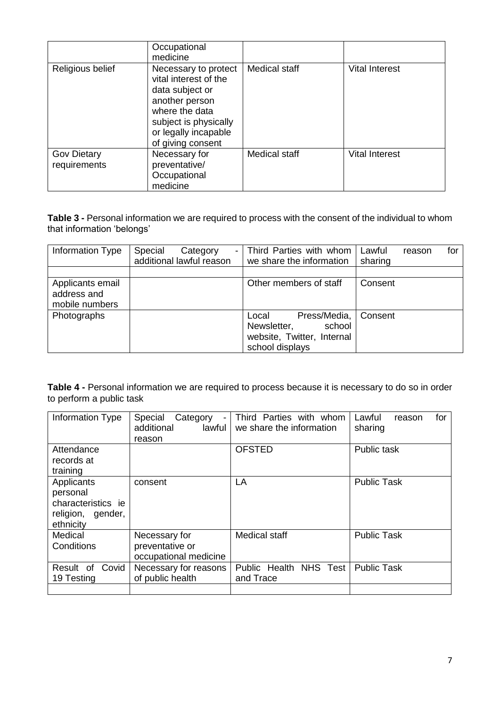|                                    | Occupational<br>medicine                                                                                                                                                   |                      |                       |
|------------------------------------|----------------------------------------------------------------------------------------------------------------------------------------------------------------------------|----------------------|-----------------------|
| Religious belief                   | Necessary to protect<br>vital interest of the<br>data subject or<br>another person<br>where the data<br>subject is physically<br>or legally incapable<br>of giving consent | <b>Medical staff</b> | <b>Vital Interest</b> |
| <b>Gov Dietary</b><br>requirements | Necessary for<br>preventative/<br>Occupational<br>medicine                                                                                                                 | Medical staff        | <b>Vital Interest</b> |

**Table 3 -** Personal information we are required to process with the consent of the individual to whom that information 'belongs'

| Information Type                                  | Special<br>Category<br>$\blacksquare$<br>additional lawful reason | Third Parties with whom<br>we share the information                                             | Lawful<br>sharing | reason | for |
|---------------------------------------------------|-------------------------------------------------------------------|-------------------------------------------------------------------------------------------------|-------------------|--------|-----|
|                                                   |                                                                   |                                                                                                 |                   |        |     |
| Applicants email<br>address and<br>mobile numbers |                                                                   | Other members of staff                                                                          | Consent           |        |     |
| Photographs                                       |                                                                   | Press/Media,<br>Local<br>school<br>Newsletter,<br>website, Twitter, Internal<br>school displays | Consent           |        |     |

**Table 4 -** Personal information we are required to process because it is necessary to do so in order to perform a public task

| Information Type                                                               | Special<br>Category<br>additional<br>lawful l<br>reason   | Third Parties with whom<br>we share the information | Lawful<br>for<br>reason<br>sharing |
|--------------------------------------------------------------------------------|-----------------------------------------------------------|-----------------------------------------------------|------------------------------------|
| Attendance<br>records at<br>training                                           |                                                           | <b>OFSTED</b>                                       | Public task                        |
| Applicants<br>personal<br>characteristics ie<br>religion, gender,<br>ethnicity | consent                                                   | LA                                                  | <b>Public Task</b>                 |
| Medical<br>Conditions                                                          | Necessary for<br>preventative or<br>occupational medicine | Medical staff                                       | <b>Public Task</b>                 |
| Result of<br>Covid<br>19 Testing                                               | Necessary for reasons<br>of public health                 | Public Health NHS Test<br>and Trace                 | <b>Public Task</b>                 |